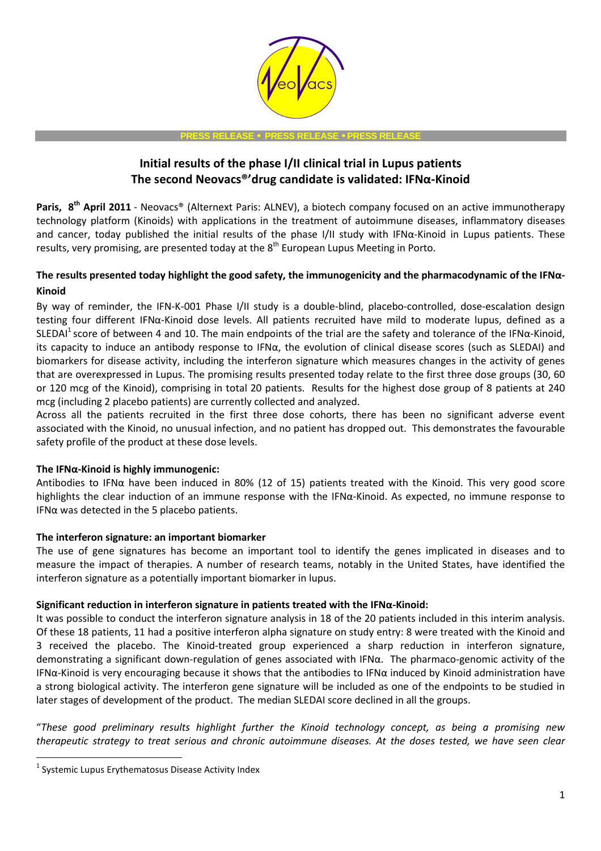

#### **PRESS RELEASE** • **PRESS RELEASE** • **PRESS RELEASE**

# **Initial results of the phase I/II clinical trial in Lupus patients The second Neovacs®'drug candidate is validated: IFNα-Kinoid**

**Paris, 8th April 2011** - Neovacs® (Alternext Paris: ALNEV), a biotech company focused on an active immunotherapy technology platform (Kinoids) with applications in the treatment of autoimmune diseases, inflammatory diseases and cancer, today published the initial results of the phase I/II study with IFNα-Kinoid in Lupus patients. These results, very promising, are presented today at the  $8<sup>th</sup>$  European Lupus Meeting in Porto.

# **The results presented today highlight the good safety, the immunogenicity and the pharmacodynamic of the IFNα-Kinoid**

By way of reminder, the IFN-K-001 Phase I/II study is a double-blind, placebo-controlled, dose-escalation design testing four different IFNα-Kinoid dose levels. All patients recruited have mild to moderate lupus, defined as a SLEDAI<sup>1</sup> score of between 4 and 10. The main endpoints of the trial are the safety and tolerance of the IFN $\alpha$ -Kinoid, its capacity to induce an antibody response to IFNα, the evolution of clinical disease scores (such as SLEDAI) and biomarkers for disease activity, including the interferon signature which measures changes in the activity of genes that are overexpressed in Lupus. The promising results presented today relate to the first three dose groups (30, 60 or 120 mcg of the Kinoid), comprising in total 20 patients. Results for the highest dose group of 8 patients at 240 mcg (including 2 placebo patients) are currently collected and analyzed.

Across all the patients recruited in the first three dose cohorts, there has been no significant adverse event associated with the Kinoid, no unusual infection, and no patient has dropped out. This demonstrates the favourable safety profile of the product at these dose levels.

## **The IFNα-Kinoid is highly immunogenic:**

Antibodies to IFN $\alpha$  have been induced in 80% (12 of 15) patients treated with the Kinoid. This very good score highlights the clear induction of an immune response with the IFNα-Kinoid. As expected, no immune response to IFNα was detected in the 5 placebo patients.

## **The interferon signature: an important biomarker**

The use of gene signatures has become an important tool to identify the genes implicated in diseases and to measure the impact of therapies. A number of research teams, notably in the United States, have identified the interferon signature as a potentially important biomarker in lupus.

### **Significant reduction in interferon signature in patients treated with the IFNα-Kinoid:**

It was possible to conduct the interferon signature analysis in 18 of the 20 patients included in this interim analysis. Of these 18 patients, 11 had a positive interferon alpha signature on study entry: 8 were treated with the Kinoid and 3 received the placebo. The Kinoid-treated group experienced a sharp reduction in interferon signature, demonstrating a significant down-regulation of genes associated with IFNα. The pharmaco-genomic activity of the IFN $\alpha$ -Kinoid is very encouraging because it shows that the antibodies to IFN $\alpha$  induced by Kinoid administration have a strong biological activity. The interferon gene signature will be included as one of the endpoints to be studied in later stages of development of the product. The median SLEDAI score declined in all the groups.

"*These good preliminary results highlight further the Kinoid technology concept, as being a promising new therapeutic strategy to treat serious and chronic autoimmune diseases. At the doses tested, we have seen clear* 

l

 $<sup>1</sup>$  Systemic Lupus Erythematosus Disease Activity Index</sup>